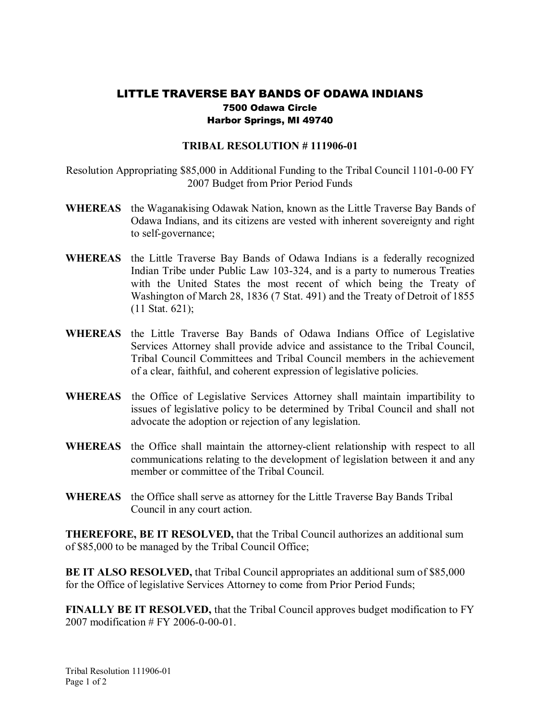## LITTLE TRAVERSE BAY BANDS OF ODAWA INDIANS 7500 Odawa Circle Harbor Springs, MI 49740

## **TRIBAL RESOLUTION #111906-01**

Resolution Appropriating  $$85,000$  in Additional Funding to the Tribal Council 1101-0-00 FY 2007 Budget from Prior Period Funds

- **WHEREAS** the Waganakising Odawak Nation, known as the Little Traverse Bay Bands of Odawa Indians, and its citizens are vested with inherent sovereignty and right to self-governance;
- WHEREAS the Little Traverse Bay Bands of Odawa Indians is a federally recognized Indian Tribe under Public Law 103-324, and is a party to numerous Treaties with the United States the most recent of which being the Treaty of Washington of March 28, 1836 (7 Stat. 491) and the Treaty of Detroit of 1855 (11 Stat. 621);
- **WHEREAS** the Little Traverse Bay Bands of Odawa Indians Office of Legislative Services Attorney shall provide advice and assistance to the Tribal Council, Tribal Council Committees and Tribal Council members in the achievement of a clear, faithful, and coherent expression of legislative policies.
- **WHEREAS** the Office of Legislative Services Attorney shall maintain impartibility to issues of legislative policy to be determined by Tribal Council and shall not advocate the adoption or rejection of any legislation.
- WHEREAS the Office shall maintain the attorney-client relationship with respect to all communications relating to the development of legislation between it and any member or committee of the Tribal Council.
- **WHEREAS** the Office shall serve as attorney for the Little Traverse Bay Bands Tribal Council in any court action.

**THEREFORE, BE IT RESOLVED,** that the Tribal Council authorizes an additional sum of \$85,000 to be managed by the Tribal Council Office;

**BE IT ALSO RESOLVED,** that Tribal Council appropriates an additional sum of \$85,000 for the Office of legislative Services Attorney to come from Prior Period Funds;

**FINALLY BE IT RESOLVED,** that the Tribal Council approves budget modification to FY  $2007$  modification  $#$  FY 2006-0-00-01